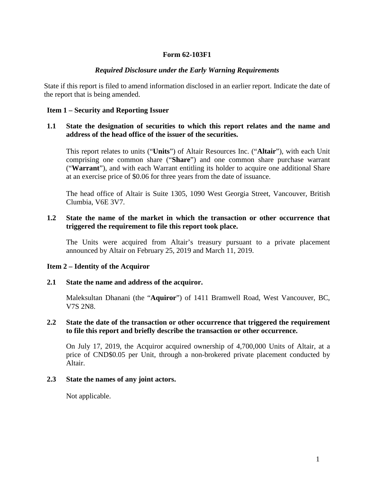# **Form 62-103F1**

### *Required Disclosure under the Early Warning Requirements*

State if this report is filed to amend information disclosed in an earlier report. Indicate the date of the report that is being amended.

### **Item 1 – Security and Reporting Issuer**

### **1.1 State the designation of securities to which this report relates and the name and address of the head office of the issuer of the securities.**

This report relates to units ("**Units**") of Altair Resources Inc. ("**Altair**"), with each Unit comprising one common share ("**Share**") and one common share purchase warrant ("**Warrant**"), and with each Warrant entitling its holder to acquire one additional Share at an exercise price of \$0.06 for three years from the date of issuance.

The head office of Altair is Suite 1305, 1090 West Georgia Street, Vancouver, British Clumbia, V6E 3V7.

### **1.2 State the name of the market in which the transaction or other occurrence that triggered the requirement to file this report took place.**

The Units were acquired from Altair's treasury pursuant to a private placement announced by Altair on February 25, 2019 and March 11, 2019.

### **Item 2 – Identity of the Acquiror**

#### **2.1 State the name and address of the acquiror.**

Maleksultan Dhanani (the "**Aquiror**") of 1411 Bramwell Road, West Vancouver, BC, V7S 2N8.

## **2.2 State the date of the transaction or other occurrence that triggered the requirement to file this report and briefly describe the transaction or other occurrence.**

On July 17, 2019, the Acquiror acquired ownership of 4,700,000 Units of Altair, at a price of CND\$0.05 per Unit, through a non-brokered private placement conducted by Altair.

#### **2.3 State the names of any joint actors.**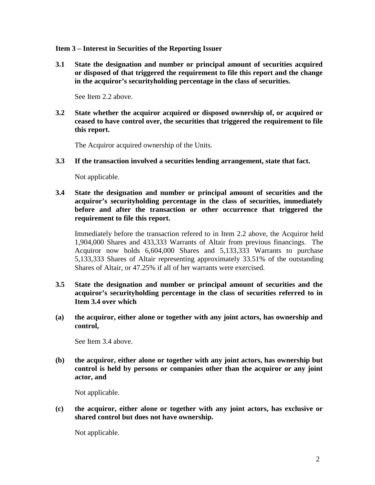### **Item 3 – Interest in Securities of the Reporting Issuer**

**3.1 State the designation and number or principal amount of securities acquired or disposed of that triggered the requirement to file this report and the change in the acquiror's securityholding percentage in the class of securities.**

See Item 2.2 above.

**3.2 State whether the acquiror acquired or disposed ownership of, or acquired or ceased to have control over, the securities that triggered the requirement to file this report.**

The Acquiror acquired ownership of the Units.

**3.3 If the transaction involved a securities lending arrangement, state that fact.**

Not applicable.

**3.4 State the designation and number or principal amount of securities and the acquiror's securityholding percentage in the class of securities, immediately before and after the transaction or other occurrence that triggered the requirement to file this report.**

Immediately before the transaction refered to in Item 2.2 above, the Acquiror held 1,904,000 Shares and 433,333 Warrants of Altair from previous financings. The Acquiror now holds 6,604,000 Shares and 5,133,333 Warrants to purchase 5,133,333 Shares of Altair representing approximately 33.51% of the outstanding Shares of Altair, or 47.25% if all of her warrants were exercised.

- **3.5 State the designation and number or principal amount of securities and the acquiror's securityholding percentage in the class of securities referred to in Item 3.4 over which**
- **(a) the acquiror, either alone or together with any joint actors, has ownership and control,**

See Item 3.4 above.

**(b) the acquiror, either alone or together with any joint actors, has ownership but control is held by persons or companies other than the acquiror or any joint actor, and**

Not applicable.

**(c) the acquiror, either alone or together with any joint actors, has exclusive or shared control but does not have ownership.**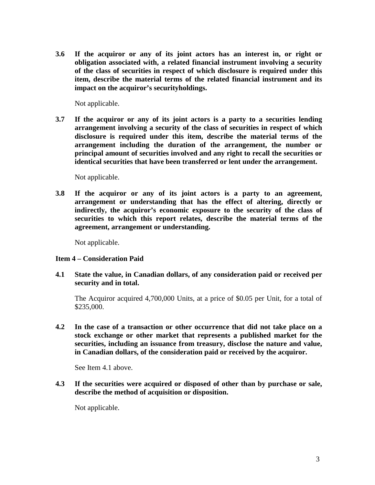**3.6 If the acquiror or any of its joint actors has an interest in, or right or obligation associated with, a related financial instrument involving a security of the class of securities in respect of which disclosure is required under this item, describe the material terms of the related financial instrument and its impact on the acquiror's securityholdings.**

Not applicable.

**3.7 If the acquiror or any of its joint actors is a party to a securities lending arrangement involving a security of the class of securities in respect of which disclosure is required under this item, describe the material terms of the arrangement including the duration of the arrangement, the number or principal amount of securities involved and any right to recall the securities or identical securities that have been transferred or lent under the arrangement.**

Not applicable.

**3.8 If the acquiror or any of its joint actors is a party to an agreement, arrangement or understanding that has the effect of altering, directly or indirectly, the acquiror's economic exposure to the security of the class of securities to which this report relates, describe the material terms of the agreement, arrangement or understanding.**

Not applicable.

### **Item 4 – Consideration Paid**

**4.1 State the value, in Canadian dollars, of any consideration paid or received per security and in total.**

The Acquiror acquired 4,700,000 Units, at a price of \$0.05 per Unit, for a total of \$235,000.

**4.2 In the case of a transaction or other occurrence that did not take place on a stock exchange or other market that represents a published market for the securities, including an issuance from treasury, disclose the nature and value, in Canadian dollars, of the consideration paid or received by the acquiror.**

See Item 4.1 above.

**4.3 If the securities were acquired or disposed of other than by purchase or sale, describe the method of acquisition or disposition.**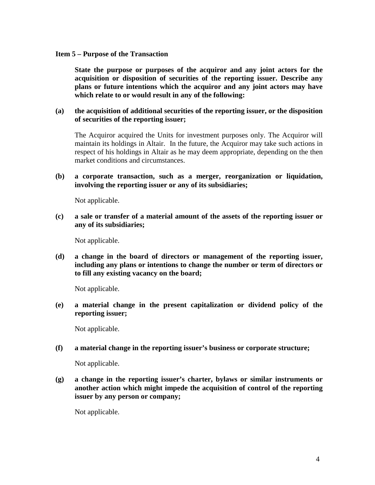#### **Item 5 – Purpose of the Transaction**

**State the purpose or purposes of the acquiror and any joint actors for the acquisition or disposition of securities of the reporting issuer. Describe any plans or future intentions which the acquiror and any joint actors may have which relate to or would result in any of the following:**

## **(a) the acquisition of additional securities of the reporting issuer, or the disposition of securities of the reporting issuer;**

The Acquiror acquired the Units for investment purposes only. The Acquiror will maintain its holdings in Altair. In the future, the Acquiror may take such actions in respect of his holdings in Altair as he may deem appropriate, depending on the then market conditions and circumstances.

## **(b) a corporate transaction, such as a merger, reorganization or liquidation, involving the reporting issuer or any of its subsidiaries;**

Not applicable.

**(c) a sale or transfer of a material amount of the assets of the reporting issuer or any of its subsidiaries;**

Not applicable.

**(d) a change in the board of directors or management of the reporting issuer, including any plans or intentions to change the number or term of directors or to fill any existing vacancy on the board;**

Not applicable.

**(e) a material change in the present capitalization or dividend policy of the reporting issuer;**

Not applicable.

**(f) a material change in the reporting issuer's business or corporate structure;**

Not applicable.

**(g) a change in the reporting issuer's charter, bylaws or similar instruments or another action which might impede the acquisition of control of the reporting issuer by any person or company;**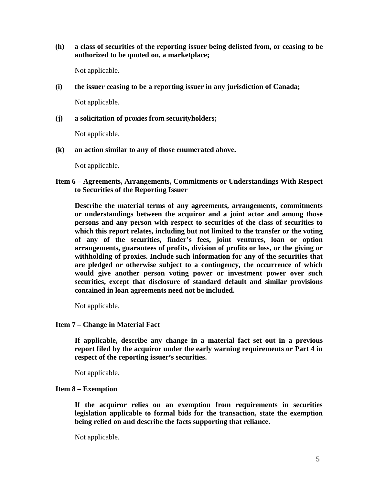## **(h) a class of securities of the reporting issuer being delisted from, or ceasing to be authorized to be quoted on, a marketplace;**

Not applicable.

**(i) the issuer ceasing to be a reporting issuer in any jurisdiction of Canada;**

Not applicable.

**(j) a solicitation of proxies from securityholders;**

Not applicable.

**(k) an action similar to any of those enumerated above.**

Not applicable.

**Item 6 – Agreements, Arrangements, Commitments or Understandings With Respect to Securities of the Reporting Issuer**

**Describe the material terms of any agreements, arrangements, commitments or understandings between the acquiror and a joint actor and among those persons and any person with respect to securities of the class of securities to which this report relates, including but not limited to the transfer or the voting of any of the securities, finder's fees, joint ventures, loan or option arrangements, guarantees of profits, division of profits or loss, or the giving or withholding of proxies. Include such information for any of the securities that are pledged or otherwise subject to a contingency, the occurrence of which would give another person voting power or investment power over such securities, except that disclosure of standard default and similar provisions contained in loan agreements need not be included.**

Not applicable.

### **Item 7 – Change in Material Fact**

**If applicable, describe any change in a material fact set out in a previous report filed by the acquiror under the early warning requirements or Part 4 in respect of the reporting issuer's securities.**

Not applicable.

### **Item 8 – Exemption**

**If the acquiror relies on an exemption from requirements in securities legislation applicable to formal bids for the transaction, state the exemption being relied on and describe the facts supporting that reliance.**